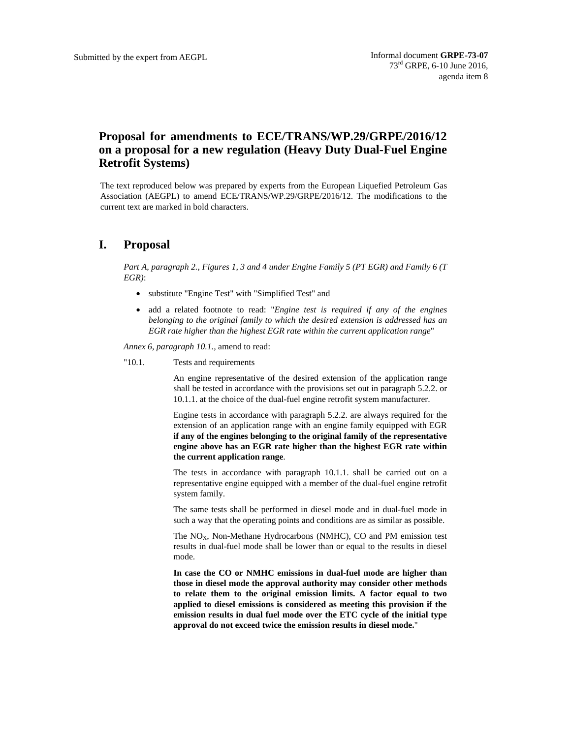## **Proposal for amendments to ECE/TRANS/WP.29/GRPE/2016/12 on a proposal for a new regulation (Heavy Duty Dual-Fuel Engine Retrofit Systems)**

The text reproduced below was prepared by experts from the European Liquefied Petroleum Gas Association (AEGPL) to amend ECE/TRANS/WP.29/GRPE/2016/12. The modifications to the current text are marked in bold characters.

## **I. Proposal**

*Part A, paragraph 2., Figures 1, 3 and 4 under Engine Family 5 (PT EGR) and Family 6 (T EGR)*:

- substitute "Engine Test" with "Simplified Test" and
- add a related footnote to read: "*Engine test is required if any of the engines belonging to the original family to which the desired extension is addressed has an EGR rate higher than the highest EGR rate within the current application range*"

*Annex 6, paragraph 10.1.,* amend to read:

## "10.1. Tests and requirements

An engine representative of the desired extension of the application range shall be tested in accordance with the provisions set out in paragraph 5.2.2. or 10.1.1. at the choice of the dual-fuel engine retrofit system manufacturer.

Engine tests in accordance with paragraph 5.2.2. are always required for the extension of an application range with an engine family equipped with EGR **if any of the engines belonging to the original family of the representative engine above has an EGR rate higher than the highest EGR rate within the current application range**.

The tests in accordance with paragraph 10.1.1. shall be carried out on a representative engine equipped with a member of the dual-fuel engine retrofit system family.

The same tests shall be performed in diesel mode and in dual-fuel mode in such a way that the operating points and conditions are as similar as possible.

The  $NO<sub>X</sub>$ , Non-Methane Hydrocarbons (NMHC), CO and PM emission test results in dual-fuel mode shall be lower than or equal to the results in diesel mode.

**In case the CO or NMHC emissions in dual-fuel mode are higher than those in diesel mode the approval authority may consider other methods to relate them to the original emission limits. A factor equal to two applied to diesel emissions is considered as meeting this provision if the emission results in dual fuel mode over the ETC cycle of the initial type approval do not exceed twice the emission results in diesel mode.**"